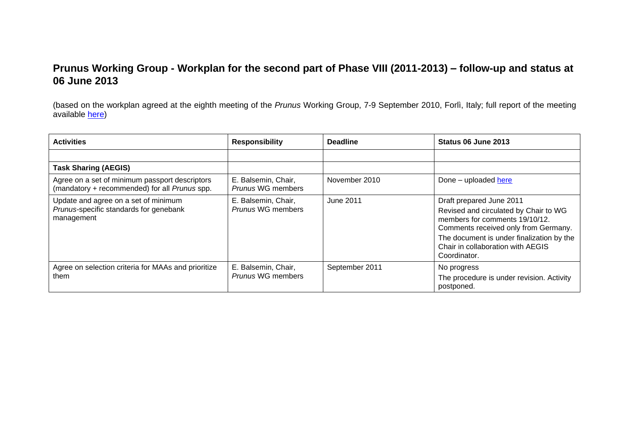## **Prunus Working Group - Workplan for the second part of Phase VIII (2011-2013) – follow-up and status at 06 June 2013**

(based on the workplan agreed at the eighth meeting of the *Prunus* Working Group, 7-9 September 2010, Forlì, Italy; full report of the meeting available [here\)](http://www.ecpgr.cgiar.org/publications/publication/issue/report_of_a_working_group_on_emprunusem.html)

| <b>Activities</b>                                                                               | <b>Responsibility</b>                    | <b>Deadline</b> | Status 06 June 2013                                                                                                                                                                                                                           |
|-------------------------------------------------------------------------------------------------|------------------------------------------|-----------------|-----------------------------------------------------------------------------------------------------------------------------------------------------------------------------------------------------------------------------------------------|
|                                                                                                 |                                          |                 |                                                                                                                                                                                                                                               |
| <b>Task Sharing (AEGIS)</b>                                                                     |                                          |                 |                                                                                                                                                                                                                                               |
| Agree on a set of minimum passport descriptors<br>(mandatory + recommended) for all Prunus spp. | E. Balsemin, Chair,<br>Prunus WG members | November 2010   | Done - uploaded here                                                                                                                                                                                                                          |
| Update and agree on a set of minimum<br>Prunus-specific standards for genebank<br>management    | E. Balsemin, Chair,<br>Prunus WG members | June 2011       | Draft prepared June 2011<br>Revised and circulated by Chair to WG<br>members for comments 19/10/12.<br>Comments received only from Germany.<br>The document is under finalization by the<br>Chair in collaboration with AEGIS<br>Coordinator. |
| Agree on selection criteria for MAAs and prioritize<br>them                                     | E. Balsemin, Chair,<br>Prunus WG members | September 2011  | No progress<br>The procedure is under revision. Activity<br>postponed.                                                                                                                                                                        |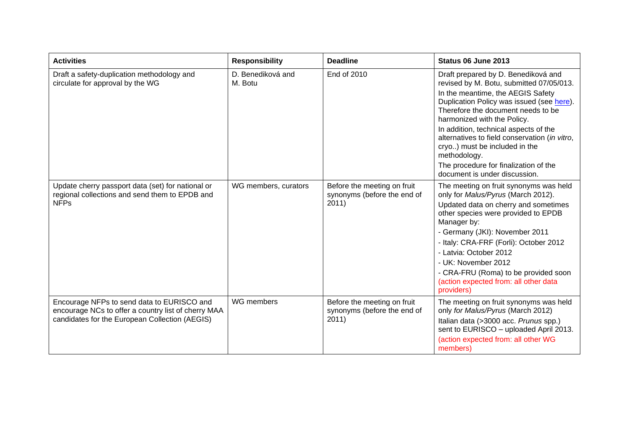| <b>Activities</b>                                                                                                                                   | <b>Responsibility</b>        | <b>Deadline</b>                                                     | Status 06 June 2013                                                                                                                                                                                                                                                                                                                                                                                                                                         |
|-----------------------------------------------------------------------------------------------------------------------------------------------------|------------------------------|---------------------------------------------------------------------|-------------------------------------------------------------------------------------------------------------------------------------------------------------------------------------------------------------------------------------------------------------------------------------------------------------------------------------------------------------------------------------------------------------------------------------------------------------|
| Draft a safety-duplication methodology and<br>circulate for approval by the WG                                                                      | D. Benediková and<br>M. Botu | End of 2010                                                         | Draft prepared by D. Benediková and<br>revised by M. Botu, submitted 07/05/013.<br>In the meantime, the AEGIS Safety<br>Duplication Policy was issued (see here).<br>Therefore the document needs to be<br>harmonized with the Policy.<br>In addition, technical aspects of the<br>alternatives to field conservation (in vitro,<br>cryo) must be included in the<br>methodology.<br>The procedure for finalization of the<br>document is under discussion. |
| Update cherry passport data (set) for national or<br>regional collections and send them to EPDB and<br><b>NFPs</b>                                  | WG members, curators         | Before the meeting on fruit<br>synonyms (before the end of<br>2011) | The meeting on fruit synonyms was held<br>only for Malus/Pyrus (March 2012).<br>Updated data on cherry and sometimes<br>other species were provided to EPDB<br>Manager by:<br>- Germany (JKI): November 2011<br>- Italy: CRA-FRF (Forli): October 2012<br>- Latvia: October 2012<br>- UK: November 2012<br>- CRA-FRU (Roma) to be provided soon<br>(action expected from: all other data<br>providers)                                                      |
| Encourage NFPs to send data to EURISCO and<br>encourage NCs to offer a country list of cherry MAA<br>candidates for the European Collection (AEGIS) | WG members                   | Before the meeting on fruit<br>synonyms (before the end of<br>2011) | The meeting on fruit synonyms was held<br>only for Malus/Pyrus (March 2012)<br>Italian data (>3000 acc. Prunus spp.)<br>sent to EURISCO - uploaded April 2013.<br>(action expected from: all other WG<br>members)                                                                                                                                                                                                                                           |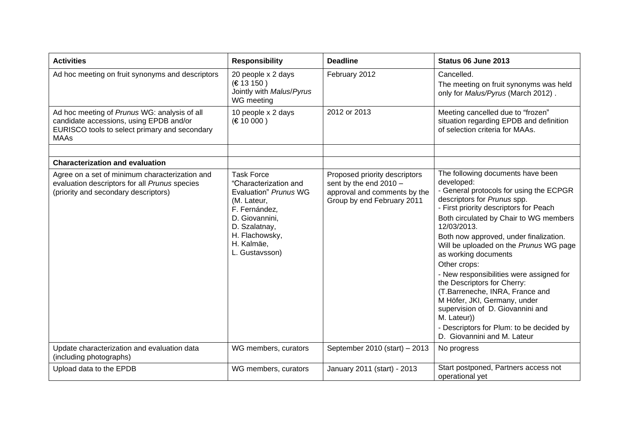| <b>Activities</b>                                                                                                                                       | <b>Responsibility</b>                                                                                                                                                                    | <b>Deadline</b>                                                                                                         | Status 06 June 2013                                                                                                                                                                                                                                                                                                                                                                                                                                                                                                                                                                                                                  |
|---------------------------------------------------------------------------------------------------------------------------------------------------------|------------------------------------------------------------------------------------------------------------------------------------------------------------------------------------------|-------------------------------------------------------------------------------------------------------------------------|--------------------------------------------------------------------------------------------------------------------------------------------------------------------------------------------------------------------------------------------------------------------------------------------------------------------------------------------------------------------------------------------------------------------------------------------------------------------------------------------------------------------------------------------------------------------------------------------------------------------------------------|
| Ad hoc meeting on fruit synonyms and descriptors                                                                                                        | 20 people x 2 days<br>(E 13 150)<br>Jointly with Malus/Pyrus<br>WG meeting                                                                                                               | February 2012                                                                                                           | Cancelled.<br>The meeting on fruit synonyms was held<br>only for Malus/Pyrus (March 2012).                                                                                                                                                                                                                                                                                                                                                                                                                                                                                                                                           |
| Ad hoc meeting of Prunus WG: analysis of all<br>candidate accessions, using EPDB and/or<br>EURISCO tools to select primary and secondary<br><b>MAAs</b> | 10 people x 2 days<br>(E 10 000)                                                                                                                                                         | 2012 or 2013                                                                                                            | Meeting cancelled due to "frozen"<br>situation regarding EPDB and definition<br>of selection criteria for MAAs.                                                                                                                                                                                                                                                                                                                                                                                                                                                                                                                      |
|                                                                                                                                                         |                                                                                                                                                                                          |                                                                                                                         |                                                                                                                                                                                                                                                                                                                                                                                                                                                                                                                                                                                                                                      |
| <b>Characterization and evaluation</b>                                                                                                                  |                                                                                                                                                                                          |                                                                                                                         |                                                                                                                                                                                                                                                                                                                                                                                                                                                                                                                                                                                                                                      |
| Agree on a set of minimum characterization and<br>evaluation descriptors for all Prunus species<br>(priority and secondary descriptors)                 | <b>Task Force</b><br>"Characterization and<br>Evaluation" Prunus WG<br>(M. Lateur,<br>F. Fernández,<br>D. Giovannini,<br>D. Szalatnay,<br>H. Flachowsky,<br>H. Kalmäe,<br>L. Gustavsson) | Proposed priority descriptors<br>sent by the end $2010 -$<br>approval and comments by the<br>Group by end February 2011 | The following documents have been<br>developed:<br>- General protocols for using the ECPGR<br>descriptors for Prunus spp.<br>- First priority descriptors for Peach<br>Both circulated by Chair to WG members<br>12/03/2013.<br>Both now approved, under finalization.<br>Will be uploaded on the Prunus WG page<br>as working documents<br>Other crops:<br>- New responsibilities were assigned for<br>the Descriptors for Cherry:<br>(T.Barreneche, INRA, France and<br>M Höfer, JKI, Germany, under<br>supervision of D. Giovannini and<br>M. Lateur))<br>- Descriptors for Plum: to be decided by<br>D. Giovannini and M. Lateur |
| Update characterization and evaluation data<br>(including photographs)                                                                                  | WG members, curators                                                                                                                                                                     | September 2010 (start) - 2013                                                                                           | No progress                                                                                                                                                                                                                                                                                                                                                                                                                                                                                                                                                                                                                          |
| Upload data to the EPDB                                                                                                                                 | WG members, curators                                                                                                                                                                     | January 2011 (start) - 2013                                                                                             | Start postponed, Partners access not<br>operational yet                                                                                                                                                                                                                                                                                                                                                                                                                                                                                                                                                                              |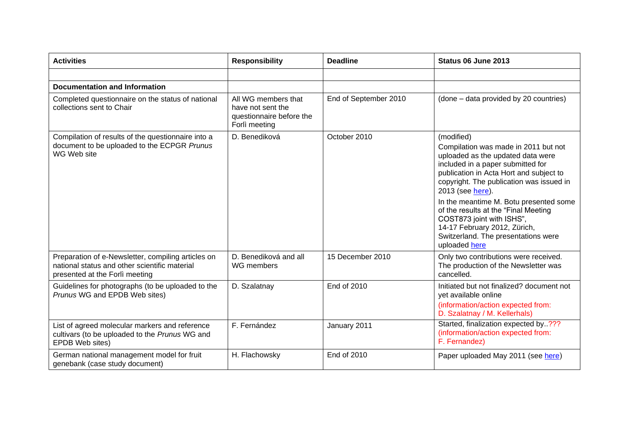| <b>Activities</b>                                                                                                                     | <b>Responsibility</b>                                                                 | <b>Deadline</b>       | Status 06 June 2013                                                                                                                                                                                                                                                                                                                                                                                                                            |
|---------------------------------------------------------------------------------------------------------------------------------------|---------------------------------------------------------------------------------------|-----------------------|------------------------------------------------------------------------------------------------------------------------------------------------------------------------------------------------------------------------------------------------------------------------------------------------------------------------------------------------------------------------------------------------------------------------------------------------|
|                                                                                                                                       |                                                                                       |                       |                                                                                                                                                                                                                                                                                                                                                                                                                                                |
| <b>Documentation and Information</b>                                                                                                  |                                                                                       |                       |                                                                                                                                                                                                                                                                                                                                                                                                                                                |
| Completed questionnaire on the status of national<br>collections sent to Chair                                                        | All WG members that<br>have not sent the<br>questionnaire before the<br>Forlì meeting | End of September 2010 | (done – data provided by 20 countries)                                                                                                                                                                                                                                                                                                                                                                                                         |
| Compilation of results of the questionnaire into a<br>document to be uploaded to the ECPGR Prunus<br>WG Web site                      | D. Benediková                                                                         | October 2010          | (modified)<br>Compilation was made in 2011 but not<br>uploaded as the updated data were<br>included in a paper submitted for<br>publication in Acta Hort and subject to<br>copyright. The publication was issued in<br>2013 (see here).<br>In the meantime M. Botu presented some<br>of the results at the "Final Meeting<br>COST873 joint with ISHS",<br>14-17 February 2012, Zürich,<br>Switzerland. The presentations were<br>uploaded here |
| Preparation of e-Newsletter, compiling articles on<br>national status and other scientific material<br>presented at the Forlì meeting | D. Benediková and all<br>WG members                                                   | 15 December 2010      | Only two contributions were received.<br>The production of the Newsletter was<br>cancelled.                                                                                                                                                                                                                                                                                                                                                    |
| Guidelines for photographs (to be uploaded to the<br>Prunus WG and EPDB Web sites)                                                    | D. Szalatnay                                                                          | End of 2010           | Initiated but not finalized? document not<br>yet available online<br>(information/action expected from:<br>D. Szalatnay / M. Kellerhals)                                                                                                                                                                                                                                                                                                       |
| List of agreed molecular markers and reference<br>cultivars (to be uploaded to the Prunus WG and<br>EPDB Web sites)                   | F. Fernández                                                                          | January 2011          | Started, finalization expected by???<br>(information/action expected from:<br>F. Fernandez)                                                                                                                                                                                                                                                                                                                                                    |
| German national management model for fruit<br>genebank (case study document)                                                          | H. Flachowsky                                                                         | End of 2010           | Paper uploaded May 2011 (see here)                                                                                                                                                                                                                                                                                                                                                                                                             |